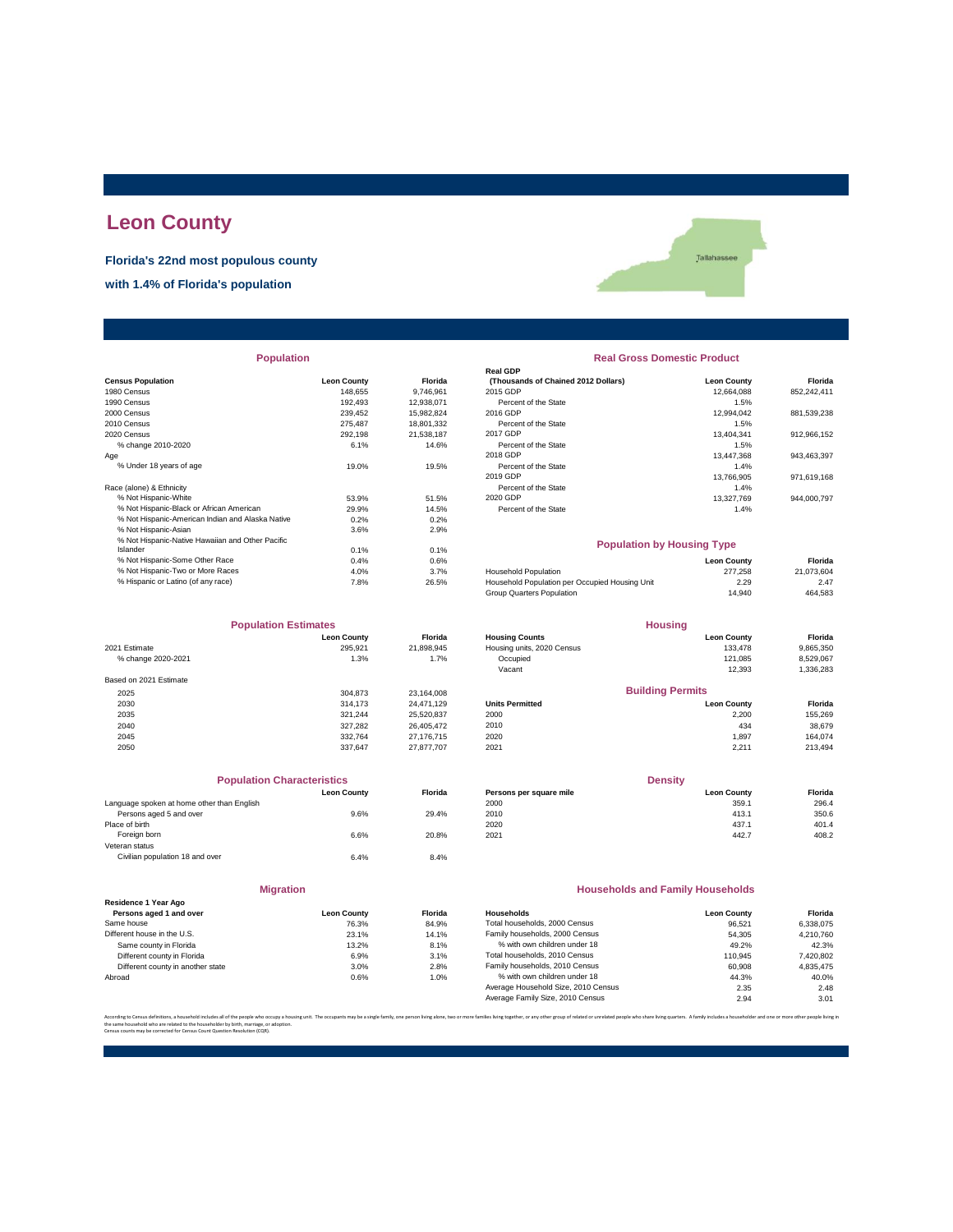# **Leon County**

**Florida's 22nd most populous county with 1.4% of Florida's population**

Tallahassee

| <b>Population</b>                                |                    |                | <b>Real Gross Domestic Product</b>             |                    |             |  |
|--------------------------------------------------|--------------------|----------------|------------------------------------------------|--------------------|-------------|--|
|                                                  |                    |                | <b>Real GDP</b>                                |                    |             |  |
| <b>Census Population</b>                         | <b>Leon County</b> | <b>Florida</b> | (Thousands of Chained 2012 Dollars)            | <b>Leon County</b> | Florida     |  |
| 1980 Census                                      | 148.655            | 9.746.961      | 2015 GDP                                       | 12.664.088         | 852,242,411 |  |
| 1990 Census                                      | 192,493            | 12,938,071     | Percent of the State                           | 1.5%               |             |  |
| 2000 Census                                      | 239,452            | 15,982,824     | 2016 GDP                                       | 12,994,042         | 881,539,238 |  |
| 2010 Census                                      | 275,487            | 18,801,332     | Percent of the State                           | 1.5%               |             |  |
| 2020 Census                                      | 292.198            | 21.538.187     | 2017 GDP                                       | 13.404.341         | 912,966,152 |  |
| % change 2010-2020                               | 6.1%               | 14.6%          | Percent of the State                           | 1.5%               |             |  |
| Aae                                              |                    |                | 2018 GDP                                       | 13,447,368         | 943,463,397 |  |
| % Under 18 years of age                          | 19.0%              | 19.5%          | Percent of the State                           | 1.4%               |             |  |
|                                                  |                    |                | 2019 GDP                                       | 13,766,905         | 971,619,168 |  |
| Race (alone) & Ethnicity                         |                    |                | Percent of the State                           | 1.4%               |             |  |
| % Not Hispanic-White                             | 53.9%              | 51.5%          | 2020 GDP                                       | 13,327,769         | 944.000.797 |  |
| % Not Hispanic-Black or African American         | 29.9%              | 14.5%          | Percent of the State                           | 1.4%               |             |  |
| % Not Hispanic-American Indian and Alaska Native | 0.2%               | 0.2%           |                                                |                    |             |  |
| % Not Hispanic-Asian                             | 3.6%               | 2.9%           |                                                |                    |             |  |
| % Not Hispanic-Native Hawaiian and Other Pacific |                    |                | <b>Population by Housing Type</b>              |                    |             |  |
| Islander                                         | 0.1%               | 0.1%           |                                                |                    |             |  |
| % Not Hispanic-Some Other Race                   | 0.4%               | 0.6%           |                                                | <b>Leon County</b> | Florida     |  |
| % Not Hispanic-Two or More Races                 | 4.0%               | 3.7%           | Household Population                           | 277.258            | 21,073,604  |  |
| % Hispanic or Latino (of any race)               | 7.8%               | 26.5%          | Household Population per Occupied Housing Unit | 2.29               | 2.47        |  |
|                                                  |                    |                |                                                |                    |             |  |

| <b>Population Estimates</b> |                    | <b>Housing</b> |                            |                         |           |
|-----------------------------|--------------------|----------------|----------------------------|-------------------------|-----------|
|                             | <b>Leon County</b> | <b>Florida</b> | <b>Housing Counts</b>      | <b>Leon County</b>      | Florida   |
| 2021 Estimate               | 295.921            | 21,898,945     | Housing units, 2020 Census | 133.478                 | 9,865,350 |
| % change 2020-2021          | 1.3%               | 1.7%           | Occupied                   | 121.085                 | 8,529,067 |
|                             |                    |                | Vacant                     | 12,393                  | 1,336,283 |
| Based on 2021 Estimate      |                    |                |                            |                         |           |
| 2025                        | 304.873            | 23,164,008     |                            | <b>Building Permits</b> |           |
| 2030                        | 314.173            | 24.471.129     | <b>Units Permitted</b>     | <b>Leon County</b>      | Florida   |
| 2035                        | 321.244            | 25,520,837     | 2000                       | 2,200                   | 155,269   |
| 2040                        | 327.282            | 26,405,472     | 2010                       | 434                     | 38,679    |
| 2045                        | 332.764            | 27,176,715     | 2020                       | 1.897                   | 164.074   |
| 2050                        | 337.647            | 27.877.707     | 2021                       | 2.211                   | 213,494   |

| <b>Population Characteristics</b>          |                    |                |
|--------------------------------------------|--------------------|----------------|
|                                            | <b>Leon County</b> | <b>Florida</b> |
| Language spoken at home other than English |                    |                |
| Persons aged 5 and over                    | 9.6%               | 29.4%          |
| Place of birth                             |                    |                |
| Foreign born                               | 6.6%               | 20.8%          |
| Veteran status                             |                    |                |
| Civilian population 18 and over            | 6.4%               | 8.4%           |
| <b>Migration</b>                           |                    |                |

|                                                 | 11111              |               |
|-------------------------------------------------|--------------------|---------------|
| Residence 1 Year Ago<br>Persons aged 1 and over | <b>Leon County</b> | <b>Florid</b> |
|                                                 |                    |               |
| Same house                                      | 76.3%              | 84.9%         |
| Different house in the U.S.                     | 23.1%              | 14.19         |
| Same county in Florida                          | 13.2%              | 8.1%          |
| Different county in Florida                     | 6.9%               | 3.1%          |
| Different county in another state               | 3.0%               | 2.8%          |
| Abroad                                          | 0.6%               | 1.0%          |
|                                                 |                    |               |

| <b>Population</b>                                |                    |            | <b>Real Gross Domestic Product</b>  |                    |             |  |
|--------------------------------------------------|--------------------|------------|-------------------------------------|--------------------|-------------|--|
|                                                  |                    |            | <b>Real GDP</b>                     |                    |             |  |
| sus Population                                   | <b>Leon County</b> | Florida    | (Thousands of Chained 2012 Dollars) | <b>Leon County</b> | Florida     |  |
| 0 Census                                         | 148.655            | 9.746.961  | 2015 GDP                            | 12.664.088         | 852,242,411 |  |
| 0 Census                                         | 192.493            | 12.938.071 | Percent of the State                | 1.5%               |             |  |
| 0 Census                                         | 239.452            | 15.982.824 | 2016 GDP                            | 12.994.042         | 881.539.238 |  |
| 0 Census                                         | 275.487            | 18,801,332 | Percent of the State                | 1.5%               |             |  |
| 0 Census                                         | 292.198            | 21.538.187 | 2017 GDP                            | 13.404.341         | 912.966.152 |  |
| % change 2010-2020                               | 6.1%               | 14.6%      | Percent of the State                | 1.5%               |             |  |
|                                                  |                    |            | 2018 GDP                            | 13,447,368         | 943.463.397 |  |
| % Under 18 years of age                          | 19.0%              | 19.5%      | Percent of the State                | 1.4%               |             |  |
|                                                  |                    |            | 2019 GDP                            | 13.766.905         | 971.619.168 |  |
| e (alone) & Ethnicity                            |                    |            | Percent of the State                | 1.4%               |             |  |
| % Not Hispanic-White                             | 53.9%              | 51.5%      | 2020 GDP                            | 13,327,769         | 944,000,797 |  |
| % Not Hispanic-Black or African American         | 29.9%              | 14.5%      | Percent of the State                | 1.4%               |             |  |
| % Not Hispanic-American Indian and Alaska Native | 0.2%               | 0.2%       |                                     |                    |             |  |
|                                                  |                    |            |                                     |                    |             |  |

### **Population by Housing Type**

| % Not Hispanic-Some Other Race     | 0.4% | 0.6%  |                                                | <b>Leon County</b> | Florida    |
|------------------------------------|------|-------|------------------------------------------------|--------------------|------------|
| % Not Hispanic-Two or More Races   | 4.0% | 3.7%  | <b>Household Population</b>                    | 277.258            | 21.073.604 |
| % Hispanic or Latino (of any race) | 7.8% | 26.5% | Household Population per Occupied Housing Unit | 2.29               | 2.47       |
|                                    |      |       | Group Quarters Population                      | 14.940             | 464,583    |
|                                    |      |       |                                                |                    |            |

| <b>Population Estimates</b> |                    |                | <b>Housing</b>             |                         |           |  |
|-----------------------------|--------------------|----------------|----------------------------|-------------------------|-----------|--|
|                             | <b>Leon County</b> | <b>Florida</b> | <b>Housing Counts</b>      | <b>Leon County</b>      | Florida   |  |
| 2021 Estimate               | 295.921            | 21.898.945     | Housing units, 2020 Census | 133.478                 | 9,865,350 |  |
| % change 2020-2021          | 1.3%               | 1.7%           | Occupied                   | 121.085                 | 8,529,067 |  |
|                             |                    |                | Vacant                     | 12.393                  | 1,336,283 |  |
| Based on 2021 Estimate      |                    |                |                            |                         |           |  |
| 2025                        | 304.873            | 23.164.008     |                            | <b>Building Permits</b> |           |  |
| 2030                        | 314.173            | 24.471.129     | <b>Units Permitted</b>     | <b>Leon County</b>      | Florida   |  |
| 2035                        | 321.244            | 25,520,837     | 2000                       | 2.200                   | 155,269   |  |
| 2040                        | 327,282            | 26,405,472     | 2010                       | 434                     | 38,679    |  |
| 0.015                       | 0.00701            | 27.1727        | 0.000                      | 1.027                   | 101071    |  |

| <b>Population Characteristics</b>          |                    |                |                         | <b>Density</b>     |         |
|--------------------------------------------|--------------------|----------------|-------------------------|--------------------|---------|
|                                            | <b>Leon County</b> | <b>Florida</b> | Persons per square mile | <b>Leon County</b> | Florida |
| Language spoken at home other than English |                    |                | 2000                    | 359.1              | 296.4   |
| Persons aged 5 and over                    | 9.6%               | 29.4%          | 2010                    | 413.1              | 350.6   |
| Place of birth                             |                    |                | 2020                    | 437.1              | 401.4   |
| Foreign born                               | 6.6%               | 20.8%          | 2021                    | 442.7              | 408.2   |
|                                            |                    |                |                         |                    |         |

### **Households and Family Households**

| <b>Leon County</b> | <b>Florida</b> | Households                          | <b>Leon County</b> | Florida   |
|--------------------|----------------|-------------------------------------|--------------------|-----------|
| 76.3%              | 84.9%          | Total households, 2000 Census       | 96.521             | 6.338.075 |
| 23.1%              | 14.1%          | Family households, 2000 Census      | 54.305             | 4.210.760 |
| 13.2%              | 8.1%           | % with own children under 18        | 49.2%              | 42.3%     |
| 6.9%               | 3.1%           | Total households, 2010 Census       | 110.945            | 7,420,802 |
| 3.0%               | 2.8%           | Family households, 2010 Census      | 60,908             | 4.835.475 |
| 0.6%               | 1.0%           | % with own children under 18        | 44.3%              | 40.0%     |
|                    |                | Average Household Size, 2010 Census | 2.35               | 2.48      |
|                    |                | Average Family Size, 2010 Census    | 2.94               | 3.01      |
|                    |                |                                     |                    |           |

.<br>lies living together, or any other group of related or unrelated people who share living quarters. A family includes a householder and one or more other the same household who are related to the householder by birth, marriage, or adoption. Census counts may be corrected for Census Count Question Resolution (CQR).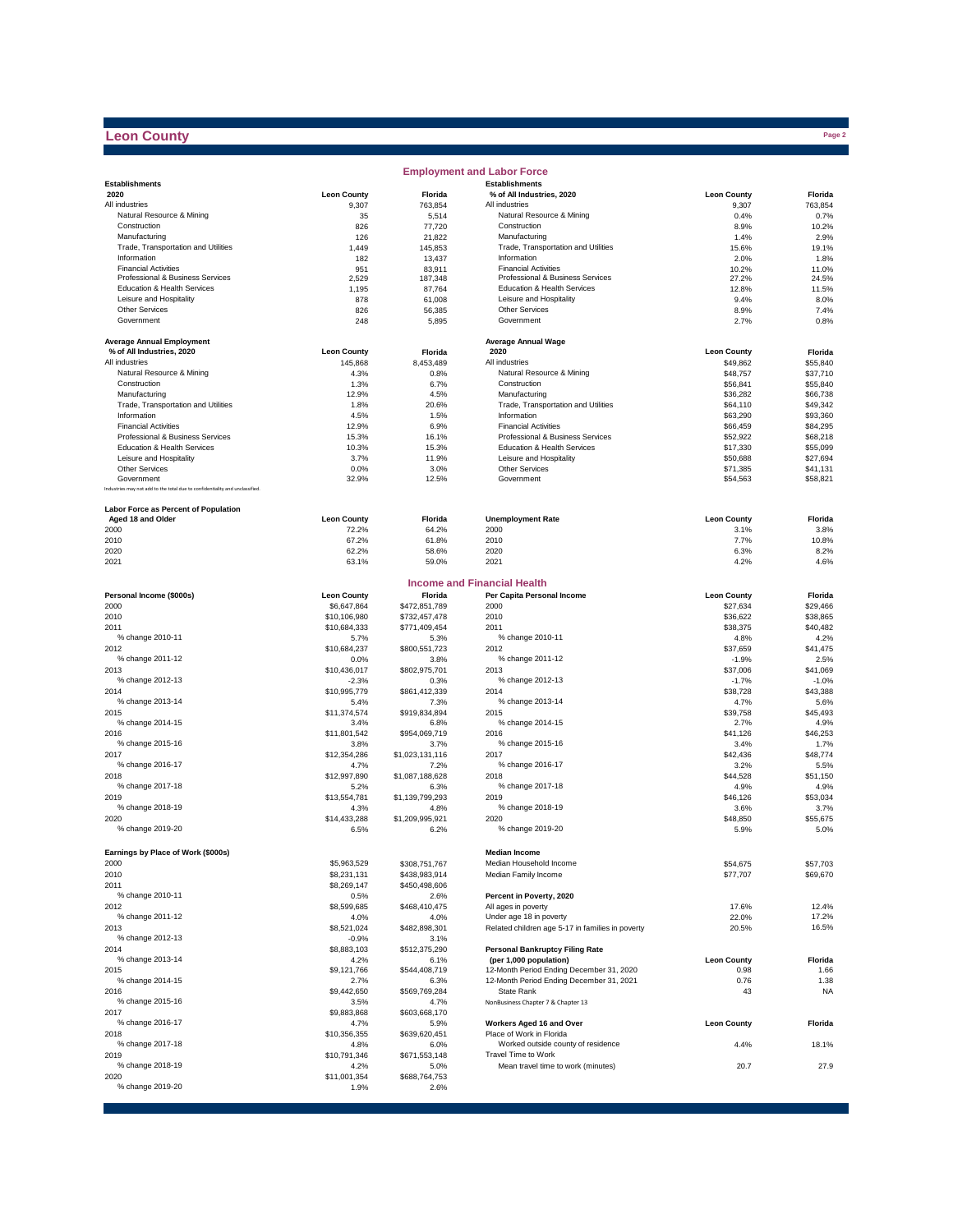## **Leon County**

|                                                                              |                             |                                | <b>Employment and Labor Force</b>                               |                      |                      |
|------------------------------------------------------------------------------|-----------------------------|--------------------------------|-----------------------------------------------------------------|----------------------|----------------------|
| <b>Establishments</b>                                                        |                             |                                | <b>Establishments</b>                                           |                      |                      |
| 2020                                                                         | <b>Leon County</b>          | Florida                        | % of All Industries, 2020                                       | <b>Leon County</b>   | Florida              |
| All industries                                                               | 9,307                       | 763,854                        | All industries                                                  | 9,307                | 763,854              |
| Natural Resource & Mining<br>Construction                                    | 35<br>826                   | 5,514<br>77,720                | Natural Resource & Mining<br>Construction                       | 0.4%<br>8.9%         | 0.7%<br>10.2%        |
| Manufacturing                                                                | 126                         | 21,822                         | Manufacturing                                                   | 1.4%                 | 2.9%                 |
| Trade, Transportation and Utilities                                          | 1,449                       | 145,853                        | Trade, Transportation and Utilities                             | 15.6%                | 19.1%                |
| Information                                                                  | 182                         | 13,437                         | Information                                                     | 2.0%                 | 1.8%                 |
| <b>Financial Activities</b>                                                  | 951                         | 83,911                         | <b>Financial Activities</b>                                     | 10.2%                | 11.0%                |
| Professional & Business Services                                             | 2,529                       | 187,348                        | Professional & Business Services                                | 27.2%                | 24.5%                |
| Education & Health Services                                                  | 1,195                       | 87,764                         | Education & Health Services                                     | 12.8%                | 11.5%                |
| Leisure and Hospitality<br><b>Other Services</b>                             | 878                         | 61,008                         | Leisure and Hospitality<br>Other Services                       | 9.4%                 | 8.0%                 |
| Government                                                                   | 826<br>248                  | 56,385<br>5,895                | Government                                                      | 8.9%<br>2.7%         | 7.4%<br>0.8%         |
|                                                                              |                             |                                |                                                                 |                      |                      |
| <b>Average Annual Employment</b>                                             |                             |                                | <b>Average Annual Wage</b>                                      |                      |                      |
| % of All Industries, 2020                                                    | <b>Leon County</b>          | Florida                        | 2020                                                            | <b>Leon County</b>   | Florida              |
| All industries                                                               | 145,868                     | 8,453,489                      | All industries                                                  | \$49,862             | \$55,840             |
| Natural Resource & Mining                                                    | 4.3%                        | 0.8%                           | Natural Resource & Mining                                       | \$48,757             | \$37,710             |
| Construction                                                                 | 1.3%                        | 6.7%                           | Construction                                                    | \$56,841             | \$55,840             |
| Manufacturing                                                                | 12.9%                       | 4.5%                           | Manufacturing                                                   | \$36,282             | \$66,738             |
| Trade, Transportation and Utilities                                          | 1.8%                        | 20.6%                          | Trade, Transportation and Utilities                             | \$64,110             | \$49,342             |
| Information                                                                  | 4.5%                        | 1.5%                           | Information                                                     | \$63,290             | \$93,360             |
| <b>Financial Activities</b>                                                  | 12.9%                       | 6.9%                           | <b>Financial Activities</b>                                     | \$66,459             | \$84,295<br>\$68,218 |
| Professional & Business Services<br>Education & Health Services              | 15.3%<br>10.3%              | 16.1%<br>15.3%                 | Professional & Business Services<br>Education & Health Services | \$52,922<br>\$17,330 | \$55,099             |
| Leisure and Hospitality                                                      | 3.7%                        | 11.9%                          | Leisure and Hospitality                                         | \$50,688             | \$27,694             |
| <b>Other Services</b>                                                        | 0.0%                        | 3.0%                           | Other Services                                                  | \$71,385             | \$41,131             |
| Government                                                                   | 32.9%                       | 12.5%                          | Government                                                      | \$54,563             | \$58,821             |
| Industries may not add to the total due to confidentiality and unclassified. |                             |                                |                                                                 |                      |                      |
|                                                                              |                             |                                |                                                                 |                      |                      |
| Labor Force as Percent of Population<br>Aged 18 and Older                    | <b>Leon County</b>          | Florida                        | <b>Unemployment Rate</b>                                        | <b>Leon County</b>   | Florida              |
| 2000                                                                         | 72.2%                       | 64.2%                          | 2000                                                            | 3.1%                 | 3.8%                 |
| 2010                                                                         | 67.2%                       | 61.8%                          | 2010                                                            | 7.7%                 | 10.8%                |
| 2020                                                                         | 62.2%                       | 58.6%                          | 2020                                                            | 6.3%                 | 8.2%                 |
| 2021                                                                         | 63.1%                       | 59.0%                          | 2021                                                            | 4.2%                 | 4.6%                 |
|                                                                              |                             |                                |                                                                 |                      |                      |
|                                                                              |                             |                                | <b>Income and Financial Health</b>                              |                      |                      |
| Personal Income (\$000s)                                                     | <b>Leon County</b>          | Florida                        | Per Capita Personal Income                                      | <b>Leon County</b>   | Florida              |
| 2000<br>2010                                                                 | \$6.647.864<br>\$10,106,980 | \$472,851,789<br>\$732,457,478 | 2000<br>2010                                                    | \$27,634<br>\$36,622 | \$29,466<br>\$38,865 |
| 2011                                                                         | \$10,684,333                | \$771,409,454                  | 2011                                                            | \$38,375             | \$40,482             |
| % change 2010-11                                                             | 5.7%                        | 5.3%                           | % change 2010-11                                                | 4.8%                 | 4.2%                 |
| 2012                                                                         | \$10,684,237                | \$800,551,723                  | 2012                                                            | \$37,659             | \$41,475             |
| % change 2011-12                                                             | 0.0%                        | 3.8%                           | % change 2011-12                                                | $-1.9%$              | 2.5%                 |
| 2013                                                                         | \$10,436,017                | \$802,975,701                  | 2013                                                            | \$37,006             | \$41,069             |
| % change 2012-13                                                             | $-2.3%$                     | 0.3%                           | % change 2012-13                                                | $-1.7%$              | $-1.0%$              |
| 2014                                                                         | \$10,995,779                | \$861,412,339                  | 2014                                                            | \$38,728             | \$43,388             |
| % change 2013-14                                                             | 5.4%                        | 7.3%                           | % change 2013-14                                                | 4.7%                 | 5.6%                 |
| 2015                                                                         | \$11,374,574                | \$919,834,894                  | 2015                                                            | \$39,758             | \$45,493             |
| % change 2014-15                                                             | 3.4%                        | 6.8%                           | % change 2014-15                                                | 2.7%                 | 4.9%                 |
| 2016                                                                         | \$11,801,542                | \$954,069,719                  | 2016                                                            | \$41,126             | \$46,253             |
| % change 2015-16                                                             | 3.8%                        | 3.7%                           | % change 2015-16                                                | 3.4%                 | 1.7%                 |
| 2017<br>% change 2016-17                                                     | \$12,354,286                | \$1,023,131,116                | 2017<br>% change 2016-17                                        | \$42,436             | \$48,774             |
| 2018                                                                         | 4.7%<br>\$12,997,890        | 7.2%<br>\$1,087,188,628        | 2018                                                            | 3.2%<br>\$44,528     | 5.5%<br>\$51,150     |
| % change 2017-18                                                             | 5.2%                        | 6.3%                           | % change 2017-18                                                | 4.9%                 | 4.9%                 |
| 2019                                                                         | \$13,554,781                | \$1,139,799,293                | 2019                                                            | \$46,126             | \$53,034             |
| % change 2018-19                                                             | 4.3%                        | 4.8%                           | % change 2018-19                                                | 3.6%                 | 3.7%                 |
| 2020                                                                         | \$14,433,288                | \$1,209,995,921                | 2020                                                            | \$48,850             | \$55,675             |
| % change 2019-20                                                             | 6.5%                        | 6.2%                           | % change 2019-20                                                | 5.9%                 | 5.0%                 |
|                                                                              |                             |                                |                                                                 |                      |                      |
| Earnings by Place of Work (\$000s)                                           |                             |                                | <b>Median Income</b><br>Median Household Income                 |                      |                      |
| 2000<br>2010                                                                 | \$5,963,529<br>\$8,231,131  | \$308,751,767                  | Median Family Income                                            | \$54,675<br>\$77,707 | \$57,703<br>\$69,670 |
| 2011                                                                         | \$8,269,147                 | \$438,983,914<br>\$450,498,606 |                                                                 |                      |                      |
| % change 2010-11                                                             | 0.5%                        | 2.6%                           | Percent in Poverty, 2020                                        |                      |                      |
| 2012                                                                         | \$8,599,685                 | \$468,410,475                  | All ages in poverty                                             | 17.6%                | 12.4%                |
| % change 2011-12                                                             | 4.0%                        | 4.0%                           | Under age 18 in poverty                                         | 22.0%                | 17.2%                |
| 2013                                                                         | \$8,521,024                 | \$482,898,301                  | Related children age 5-17 in families in poverty                | 20.5%                | 16.5%                |
| % change 2012-13                                                             | $-0.9%$                     | 3.1%                           |                                                                 |                      |                      |
| 2014                                                                         | \$8,883,103                 | \$512,375,290                  | <b>Personal Bankruptcy Filing Rate</b>                          |                      |                      |
| % change 2013-14                                                             | 4.2%                        | 6.1%                           | (per 1,000 population)                                          | <b>Leon County</b>   | Florida              |
| 2015                                                                         | \$9,121,766                 | \$544,408,719                  | 12-Month Period Ending December 31, 2020                        | 0.98                 | 1.66                 |
| % change 2014-15                                                             | 2.7%                        | 6.3%                           | 12-Month Period Ending December 31, 2021                        | 0.76                 | 1.38                 |
| 2016                                                                         | \$9,442,650                 | \$569,769,284                  | State Rank                                                      | 43                   | <b>NA</b>            |
| % change 2015-16                                                             | 3.5%                        | 4.7%                           | NonBusiness Chapter 7 & Chapter 13                              |                      |                      |
| 2017<br>% change 2016-17                                                     | \$9,883,868<br>4.7%         | \$603,668,170<br>5.9%          | Workers Aged 16 and Over                                        | <b>Leon County</b>   | Florida              |
| 2018                                                                         | \$10,356,355                | \$639,620,451                  | Place of Work in Florida                                        |                      |                      |
| % change 2017-18                                                             | 4.8%                        | 6.0%                           | Worked outside county of residence                              | 4.4%                 | 18.1%                |
| 2019                                                                         | \$10,791,346                | \$671,553,148                  | Travel Time to Work                                             |                      |                      |
| % change 2018-19                                                             | 4.2%                        | 5.0%                           | Mean travel time to work (minutes)                              | 20.7                 | 27.9                 |
| 2020                                                                         | \$11,001,354                | \$688,764,753                  |                                                                 |                      |                      |
| % change 2019-20                                                             | 1.9%                        | 2.6%                           |                                                                 |                      |                      |